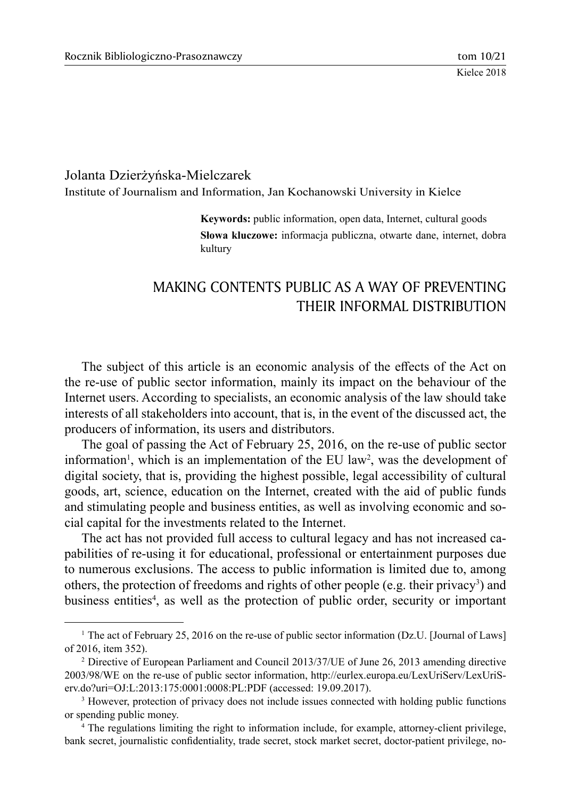### Jolanta Dzierżyńska-Mielczarek

Institute of Journalism and Information, Jan Kochanowski University in Kielce

**Keywords:** public information, open data, Internet, cultural goods **Słowa kluczowe:** informacja publiczna, otwarte dane, internet, dobra kultury

# MAKING CONTENTS PUBLIC AS A WAY OF PREVENTING THEIR INFORMAL DISTRIBUTION

The subject of this article is an economic analysis of the effects of the Act on the re-use of public sector information, mainly its impact on the behaviour of the Internet users. According to specialists, an economic analysis of the law should take interests of all stakeholders into account, that is, in the event of the discussed act, the producers of information, its users and distributors.

The goal of passing the Act of February 25, 2016, on the re-use of public sector information<sup>1</sup>, which is an implementation of the EU law<sup>2</sup>, was the development of digital society, that is, providing the highest possible, legal accessibility of cultural goods, art, science, education on the Internet, created with the aid of public funds and stimulating people and business entities, as well as involving economic and social capital for the investments related to the Internet.

The act has not provided full access to cultural legacy and has not increased capabilities of re-using it for educational, professional or entertainment purposes due to numerous exclusions. The access to public information is limited due to, among others, the protection of freedoms and rights of other people (e.g. their privacy<sup>3</sup>) and business entities<sup>4</sup>, as well as the protection of public order, security or important

<sup>&</sup>lt;sup>1</sup> The act of February 25, 2016 on the re-use of public sector information (Dz.U. [Journal of Laws] of 2016, item 352).

<sup>2</sup> Directive of European Parliament and Council 2013/37/UE of June 26, 2013 amending directive 2003/98/WE on the re-use of public sector information, http://eurlex.europa.eu/LexUriServ/LexUriServ.do?uri=OJ:L:2013:175:0001:0008:PL:PDF (accessed: 19.09.2017).

<sup>&</sup>lt;sup>3</sup> However, protection of privacy does not include issues connected with holding public functions or spending public money.

<sup>4</sup> The regulations limiting the right to information include, for example, attorney-client privilege, bank secret, journalistic confidentiality, trade secret, stock market secret, doctor-patient privilege, no-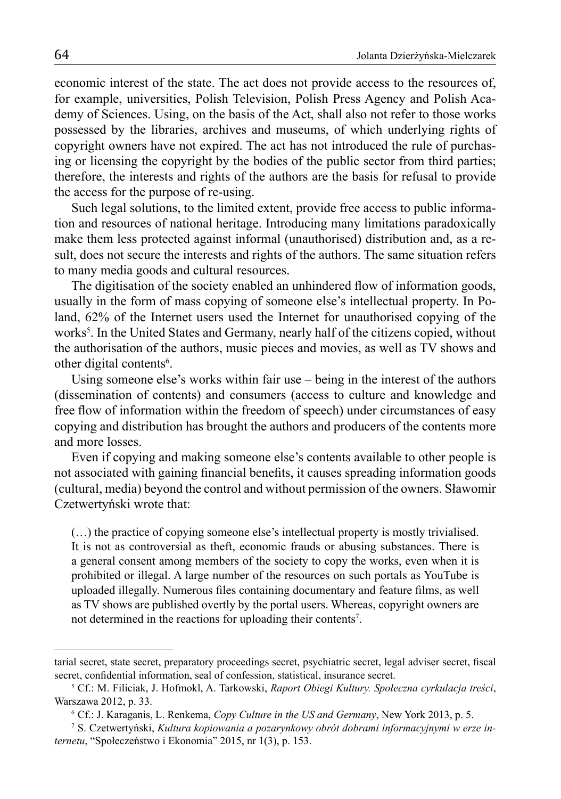economic interest of the state. The act does not provide access to the resources of, for example, universities, Polish Television, Polish Press Agency and Polish Academy of Sciences. Using, on the basis of the Act, shall also not refer to those works possessed by the libraries, archives and museums, of which underlying rights of copyright owners have not expired. The act has not introduced the rule of purchasing or licensing the copyright by the bodies of the public sector from third parties; therefore, the interests and rights of the authors are the basis for refusal to provide the access for the purpose of re-using.

Such legal solutions, to the limited extent, provide free access to public information and resources of national heritage. Introducing many limitations paradoxically make them less protected against informal (unauthorised) distribution and, as a result, does not secure the interests and rights of the authors. The same situation refers to many media goods and cultural resources.

The digitisation of the society enabled an unhindered flow of information goods, usually in the form of mass copying of someone else's intellectual property. In Poland, 62% of the Internet users used the Internet for unauthorised copying of the works<sup>5</sup>. In the United States and Germany, nearly half of the citizens copied, without the authorisation of the authors, music pieces and movies, as well as TV shows and other digital contents<sup>6</sup>.

Using someone else's works within fair use  $-\overline{\phantom{a}}$  being in the interest of the authors (dissemination of contents) and consumers (access to culture and knowledge and free flow of information within the freedom of speech) under circumstances of easy copying and distribution has brought the authors and producers of the contents more and more losses.

Even if copying and making someone else's contents available to other people is not associated with gaining financial benefits, it causes spreading information goods (cultural, media) beyond the control and without permission of the owners. Sławomir Czetwertyński wrote that:

(…) the practice of copying someone else's intellectual property is mostly trivialised. It is not as controversial as theft, economic frauds or abusing substances. There is a general consent among members of the society to copy the works, even when it is prohibited or illegal. A large number of the resources on such portals as YouTube is uploaded illegally. Numerous files containing documentary and feature films, as well as TV shows are published overtly by the portal users. Whereas, copyright owners are not determined in the reactions for uploading their contents<sup>7</sup>.

tarial secret, state secret, preparatory proceedings secret, psychiatric secret, legal adviser secret, fiscal secret, confidential information, seal of confession, statistical, insurance secret.

<sup>5</sup> Cf.: M. Filiciak, J. Hofmokl, A. Tarkowski, *Raport Obiegi Kultury. Społeczna cyrkulacja treści*, Warszawa 2012, p. 33.

<sup>6</sup> Cf.: J. Karaganis, L. Renkema, *Copy Culture in the US and Germany*, New York 2013, p. 5.

<sup>7</sup> S. Czetwertyński, *Kultura kopiowania a pozarynkowy obrót dobrami informacyjnymi w erze internetu*, "Społeczeństwo i Ekonomia" 2015, nr 1(3), p. 153.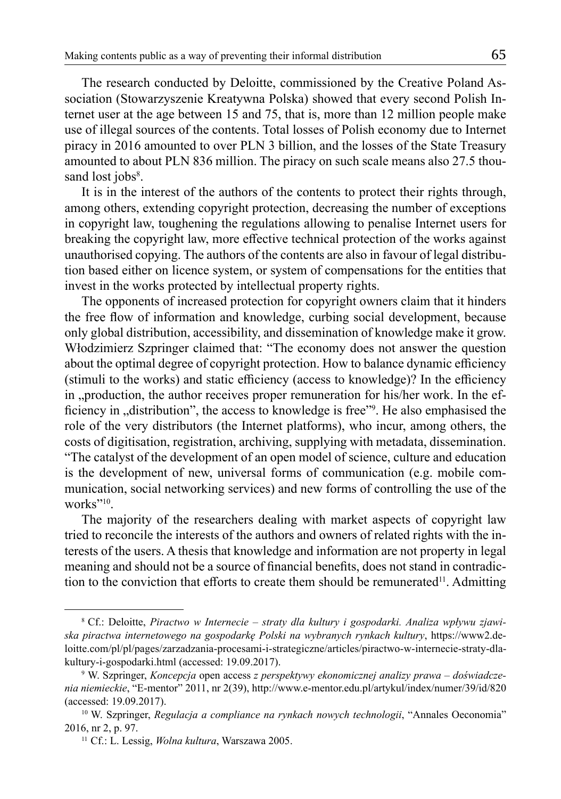The research conducted by Deloitte, commissioned by the Creative Poland Association (Stowarzyszenie Kreatywna Polska) showed that every second Polish Internet user at the age between 15 and 75, that is, more than 12 million people make use of illegal sources of the contents. Total losses of Polish economy due to Internet piracy in 2016 amounted to over PLN 3 billion, and the losses of the State Treasury amounted to about PLN 836 million. The piracy on such scale means also 27.5 thousand lost jobs<sup>8</sup>.

It is in the interest of the authors of the contents to protect their rights through, among others, extending copyright protection, decreasing the number of exceptions in copyright law, toughening the regulations allowing to penalise Internet users for breaking the copyright law, more effective technical protection of the works against unauthorised copying. The authors of the contents are also in favour of legal distribution based either on licence system, or system of compensations for the entities that invest in the works protected by intellectual property rights.

The opponents of increased protection for copyright owners claim that it hinders the free flow of information and knowledge, curbing social development, because only global distribution, accessibility, and dissemination of knowledge make it grow. Włodzimierz Szpringer claimed that: "The economy does not answer the question about the optimal degree of copyright protection. How to balance dynamic efficiency (stimuli to the works) and static efficiency (access to knowledge)? In the efficiency in "production, the author receives proper remuneration for his/her work. In the efficiency in "distribution", the access to knowledge is free"<sup>9</sup>. He also emphasised the role of the very distributors (the Internet platforms), who incur, among others, the costs of digitisation, registration, archiving, supplying with metadata, dissemination. "The catalyst of the development of an open model of science, culture and education is the development of new, universal forms of communication (e.g. mobile communication, social networking services) and new forms of controlling the use of the works"<sup>10</sup>.

The majority of the researchers dealing with market aspects of copyright law tried to reconcile the interests of the authors and owners of related rights with the interests of the users. A thesis that knowledge and information are not property in legal meaning and should not be a source of financial benefits, does not stand in contradiction to the conviction that efforts to create them should be remunerated<sup>11</sup>. Admitting

<sup>8</sup> Cf.: Deloitte, *Piractwo w Internecie – straty dla kultury i gospodarki. Analiza wpływu zjawiska piractwa internetowego na gospodarkę Polski na wybranych rynkach kultury*, https://www2.deloitte.com/pl/pl/pages/zarzadzania-procesami-i-strategiczne/articles/piractwo-w-internecie-straty-dlakultury-i-gospodarki.html (accessed: 19.09.2017).

<sup>9</sup> W. Szpringer, *Koncepcja* open access *z perspektywy ekonomicznej analizy prawa – doświadczenia niemieckie*, "E-mentor" 2011, nr 2(39), http://www.e-mentor.edu.pl/artykul/index/numer/39/id/820 (accessed: 19.09.2017).

<sup>10</sup> W. Szpringer, *Regulacja a compliance na rynkach nowych technologii*, "Annales Oeconomia" 2016, nr 2, p. 97.

<sup>11</sup> Cf.: L. Lessig, *Wolna kultura*, Warszawa 2005.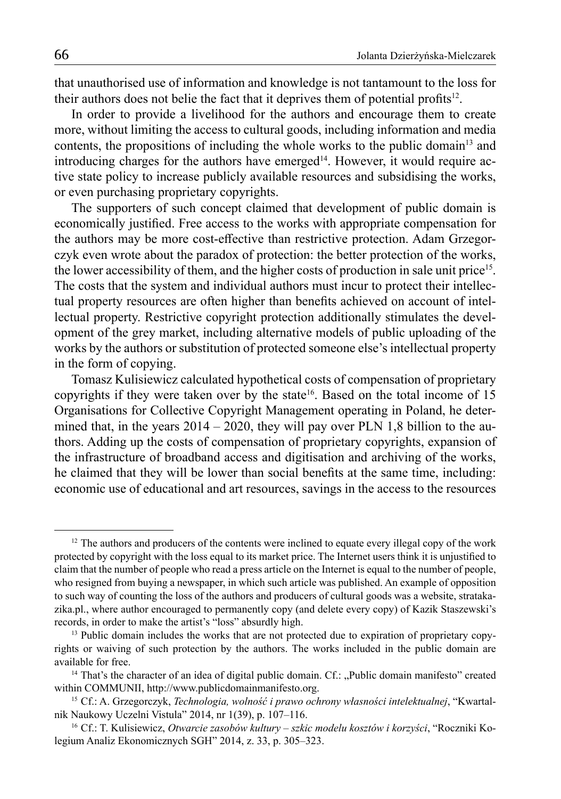that unauthorised use of information and knowledge is not tantamount to the loss for their authors does not belie the fact that it deprives them of potential profits<sup>12</sup>.

In order to provide a livelihood for the authors and encourage them to create more, without limiting the access to cultural goods, including information and media contents, the propositions of including the whole works to the public domain<sup>13</sup> and introducing charges for the authors have emerged<sup>14</sup>. However, it would require active state policy to increase publicly available resources and subsidising the works, or even purchasing proprietary copyrights.

The supporters of such concept claimed that development of public domain is economically justified. Free access to the works with appropriate compensation for the authors may be more cost-effective than restrictive protection. Adam Grzegorczyk even wrote about the paradox of protection: the better protection of the works, the lower accessibility of them, and the higher costs of production in sale unit price<sup>15</sup>. The costs that the system and individual authors must incur to protect their intellectual property resources are often higher than benefits achieved on account of intellectual property. Restrictive copyright protection additionally stimulates the development of the grey market, including alternative models of public uploading of the works by the authors or substitution of protected someone else's intellectual property in the form of copying.

Tomasz Kulisiewicz calculated hypothetical costs of compensation of proprietary copyrights if they were taken over by the state<sup>16</sup>. Based on the total income of  $15$ Organisations for Collective Copyright Management operating in Poland, he determined that, in the years  $2014 - 2020$ , they will pay over PLN 1,8 billion to the authors. Adding up the costs of compensation of proprietary copyrights, expansion of the infrastructure of broadband access and digitisation and archiving of the works, he claimed that they will be lower than social benefits at the same time, including: economic use of educational and art resources, savings in the access to the resources

<sup>&</sup>lt;sup>12</sup> The authors and producers of the contents were inclined to equate every illegal copy of the work protected by copyright with the loss equal to its market price. The Internet users think it is unjustified to claim that the number of people who read a press article on the Internet is equal to the number of people, who resigned from buying a newspaper, in which such article was published. An example of opposition to such way of counting the loss of the authors and producers of cultural goods was a website, stratakazika.pl., where author encouraged to permanently copy (and delete every copy) of Kazik Staszewski's records, in order to make the artist's "loss" absurdly high.

<sup>&</sup>lt;sup>13</sup> Public domain includes the works that are not protected due to expiration of proprietary copyrights or waiving of such protection by the authors. The works included in the public domain are available for free.

<sup>&</sup>lt;sup>14</sup> That's the character of an idea of digital public domain. Cf.: "Public domain manifesto" created within COMMUNII, http://www.publicdomainmanifesto.org.

<sup>15</sup> Cf.: A. Grzegorczyk, *Technologia, wolność i prawo ochrony własności intelektualnej*, "Kwartalnik Naukowy Uczelni Vistula" 2014, nr 1(39), p. 107–116.

<sup>16</sup> Cf.: T. Kulisiewicz, *Otwarcie zasobów kultury – szkic modelu kosztów i korzyści*, "Roczniki Kolegium Analiz Ekonomicznych SGH" 2014, z. 33, p. 305–323.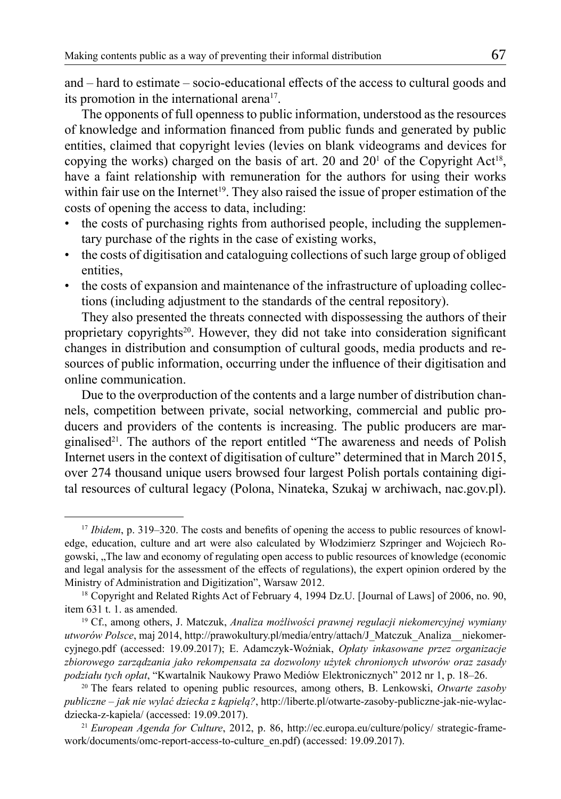and – hard to estimate – socio-educational effects of the access to cultural goods and its promotion in the international arena<sup>17</sup>.

The opponents of full openness to public information, understood as the resources of knowledge and information financed from public funds and generated by public entities, claimed that copyright levies (levies on blank videograms and devices for copying the works) charged on the basis of art. 20 and  $20<sup>1</sup>$  of the Copyright Act<sup>18</sup>, have a faint relationship with remuneration for the authors for using their works within fair use on the Internet<sup>19</sup>. They also raised the issue of proper estimation of the costs of opening the access to data, including:

- the costs of purchasing rights from authorised people, including the supplementary purchase of the rights in the case of existing works,
- the costs of digitisation and cataloguing collections of such large group of obliged entities,
- the costs of expansion and maintenance of the infrastructure of uploading collections (including adjustment to the standards of the central repository).

They also presented the threats connected with dispossessing the authors of their proprietary copyrights<sup>20</sup>. However, they did not take into consideration significant changes in distribution and consumption of cultural goods, media products and resources of public information, occurring under the influence of their digitisation and online communication.

Due to the overproduction of the contents and a large number of distribution channels, competition between private, social networking, commercial and public producers and providers of the contents is increasing. The public producers are marginalised<sup>21</sup>. The authors of the report entitled "The awareness and needs of Polish Internet users in the context of digitisation of culture" determined that in March 2015, over 274 thousand unique users browsed four largest Polish portals containing digital resources of cultural legacy (Polona, Ninateka, Szukaj w archiwach, nac.gov.pl).

<sup>17</sup> *Ibidem*, p. 319–320. The costs and benefits of opening the access to public resources of knowledge, education, culture and art were also calculated by Włodzimierz Szpringer and Wojciech Rogowski, "The law and economy of regulating open access to public resources of knowledge (economic and legal analysis for the assessment of the effects of regulations), the expert opinion ordered by the Ministry of Administration and Digitization", Warsaw 2012.

<sup>18</sup> Copyright and Related Rights Act of February 4, 1994 Dz.U. [Journal of Laws] of 2006, no. 90, item 631 t. 1. as amended.

<sup>19</sup> Cf., among others, J. Matczuk, *Analiza możliwości prawnej regulacji niekomercyjnej wymiany utworów Polsce*, maj 2014, http://prawokultury.pl/media/entry/attach/J\_Matczuk\_Analiza\_\_niekomercyjnego.pdf (accessed: 19.09.2017); E. Adamczyk-Woźniak, *Opłaty inkasowane przez organizacje zbiorowego zarządzania jako rekompensata za dozwolony użytek chronionych utworów oraz zasady podziału tych opłat*, "Kwartalnik Naukowy Prawo Mediów Elektronicznych" 2012 nr 1, p. 18–26.

<sup>20</sup> The fears related to opening public resources, among others, B. Lenkowski, *Otwarte zasoby publiczne – jak nie wylać dziecka z kąpielą?*, http://liberte.pl/otwarte-zasoby-publiczne-jak-nie-wylacdziecka-z-kapiela/ (accessed: 19.09.2017).

<sup>21</sup> *European Agenda for Culture*, 2012, p. 86, http://ec.europa.eu/culture/policy/ strategic-framework/documents/omc-report-access-to-culture\_en.pdf) (accessed: 19.09.2017).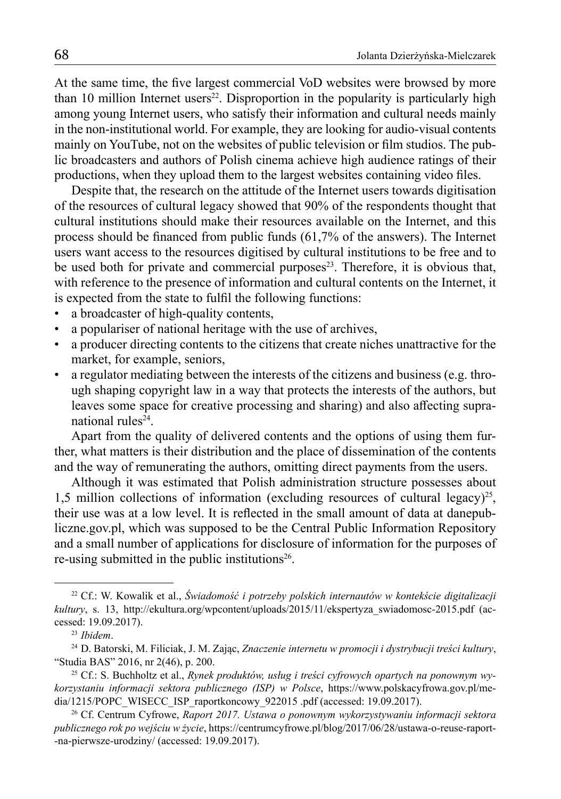At the same time, the five largest commercial VoD websites were browsed by more than 10 million Internet users<sup>22</sup>. Disproportion in the popularity is particularly high among young Internet users, who satisfy their information and cultural needs mainly in the non-institutional world. For example, they are looking for audio-visual contents mainly on YouTube, not on the websites of public television or film studios. The public broadcasters and authors of Polish cinema achieve high audience ratings of their productions, when they upload them to the largest websites containing video files.

Despite that, the research on the attitude of the Internet users towards digitisation of the resources of cultural legacy showed that 90% of the respondents thought that cultural institutions should make their resources available on the Internet, and this process should be financed from public funds (61,7% of the answers). The Internet users want access to the resources digitised by cultural institutions to be free and to be used both for private and commercial purposes<sup>23</sup>. Therefore, it is obvious that, with reference to the presence of information and cultural contents on the Internet, it is expected from the state to fulfil the following functions:

- a broadcaster of high-quality contents,
- a populariser of national heritage with the use of archives,
- a producer directing contents to the citizens that create niches unattractive for the market, for example, seniors,
- a regulator mediating between the interests of the citizens and business (e.g. through shaping copyright law in a way that protects the interests of the authors, but leaves some space for creative processing and sharing) and also affecting supranational rules $24$ .

Apart from the quality of delivered contents and the options of using them further, what matters is their distribution and the place of dissemination of the contents and the way of remunerating the authors, omitting direct payments from the users.

Although it was estimated that Polish administration structure possesses about 1,5 million collections of information (excluding resources of cultural legacy)<sup>25</sup>, their use was at a low level. It is reflected in the small amount of data at danepubliczne.gov.pl, which was supposed to be the Central Public Information Repository and a small number of applications for disclosure of information for the purposes of re-using submitted in the public institutions<sup>26</sup>.

<sup>22</sup> Cf.: W. Kowalik et al., *Świadomość i potrzeby polskich internautów w kontekście digitalizacji kultury*, s. 13, http://ekultura.org/wpcontent/uploads/2015/11/ekspertyza\_swiadomosc-2015.pdf (accessed: 19.09.2017).

<sup>23</sup> *Ibidem*.

<sup>24</sup> D. Batorski, M. Filiciak, J. M. Zając, *Znaczenie internetu w promocji i dystrybucji treści kultury*, "Studia BAS" 2016, nr 2(46), p. 200.

<sup>25</sup> Cf.: S. Buchholtz et al., *Rynek produktów, usług i treści cyfrowych opartych na ponownym wykorzystaniu informacji sektora publicznego (ISP) w Polsce*, https://www.polskacyfrowa.gov.pl/media/1215/POPC\_WISECC\_ISP\_raportkoncowy\_922015 .pdf (accessed: 19.09.2017).

<sup>26</sup> Cf. Centrum Cyfrowe, *Raport 2017. Ustawa o ponownym wykorzystywaniu informacji sektora publicznego rok po wejściu w życie*, https://centrumcyfrowe.pl/blog/2017/06/28/ustawa-o-reuse-raport- -na-pierwsze-urodziny/ (accessed: 19.09.2017).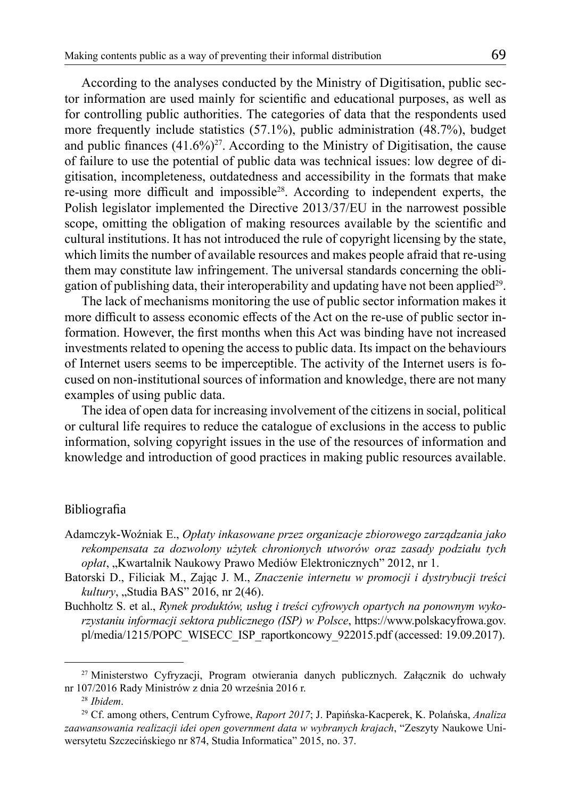According to the analyses conducted by the Ministry of Digitisation, public sector information are used mainly for scientific and educational purposes, as well as for controlling public authorities. The categories of data that the respondents used more frequently include statistics (57.1%), public administration (48.7%), budget and public finances  $(41.6\%)^{27}$ . According to the Ministry of Digitisation, the cause of failure to use the potential of public data was technical issues: low degree of digitisation, incompleteness, outdatedness and accessibility in the formats that make re-using more difficult and impossible28. According to independent experts, the Polish legislator implemented the Directive 2013/37/EU in the narrowest possible scope, omitting the obligation of making resources available by the scientific and cultural institutions. It has not introduced the rule of copyright licensing by the state, which limits the number of available resources and makes people afraid that re-using them may constitute law infringement. The universal standards concerning the obligation of publishing data, their interoperability and updating have not been applied<sup>29</sup>.

The lack of mechanisms monitoring the use of public sector information makes it more difficult to assess economic effects of the Act on the re-use of public sector information. However, the first months when this Act was binding have not increased investments related to opening the access to public data. Its impact on the behaviours of Internet users seems to be imperceptible. The activity of the Internet users is focused on non-institutional sources of information and knowledge, there are not many examples of using public data.

The idea of open data for increasing involvement of the citizens in social, political or cultural life requires to reduce the catalogue of exclusions in the access to public information, solving copyright issues in the use of the resources of information and knowledge and introduction of good practices in making public resources available.

## Bibliografia

- Adamczyk-Woźniak E., *Opłaty inkasowane przez organizacje zbiorowego zarządzania jako rekompensata za dozwolony użytek chronionych utworów oraz zasady podziału tych*  opłat, "Kwartalnik Naukowy Prawo Mediów Elektronicznych" 2012, nr 1.
- Batorski D., Filiciak M., Zając J. M., *Znaczenie internetu w promocji i dystrybucji treści kultury*, "Studia BAS" 2016, nr 2(46).
- Buchholtz S. et al., *Rynek produktów, usług i treści cyfrowych opartych na ponownym wykorzystaniu informacji sektora publicznego (ISP) w Polsce*, https://www.polskacyfrowa.gov. pl/media/1215/POPC\_WISECC\_ISP\_raportkoncowy\_922015.pdf (accessed: 19.09.2017).

<sup>27</sup> Ministerstwo Cyfryzacji, Program otwierania danych publicznych. Załącznik do uchwały nr 107/2016 Rady Ministrów z dnia 20 września 2016 r.

<sup>28</sup> *Ibidem*.

<sup>29</sup> Cf. among others, Centrum Cyfrowe, *Raport 2017*; J. Papińska-Kacperek, K. Polańska, *Analiza zaawansowania realizacji idei open government data w wybranych krajach*, "Zeszyty Naukowe Uniwersytetu Szczecińskiego nr 874, Studia Informatica" 2015, no. 37.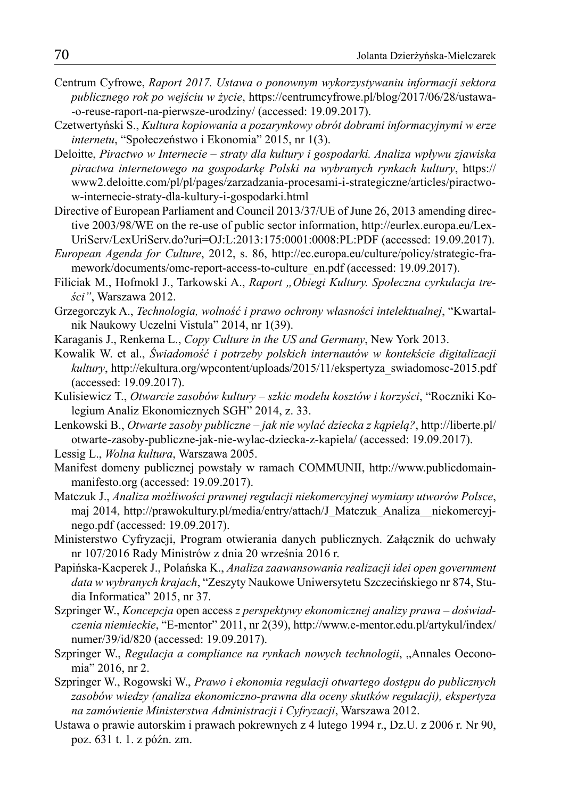- Centrum Cyfrowe, *Raport 2017. Ustawa o ponownym wykorzystywaniu informacji sektora publicznego rok po wejściu w życie*, https://centrumcyfrowe.pl/blog/2017/06/28/ustawa- -o-reuse-raport-na-pierwsze-urodziny/ (accessed: 19.09.2017).
- Czetwertyński S., *Kultura kopiowania a pozarynkowy obrót dobrami informacyjnymi w erze internetu*, "Społeczeństwo i Ekonomia" 2015, nr 1(3).
- Deloitte, *Piractwo w Internecie straty dla kultury i gospodarki. Analiza wpływu zjawiska piractwa internetowego na gospodarkę Polski na wybranych rynkach kultury*, https:// www2.deloitte.com/pl/pl/pages/zarzadzania-procesami-i-strategiczne/articles/piractwow-internecie-straty-dla-kultury-i-gospodarki.html
- Directive of European Parliament and Council 2013/37/UE of June 26, 2013 amending directive 2003/98/WE on the re-use of public sector information, http://eurlex.europa.eu/Lex-UriServ/LexUriServ.do?uri=OJ:L:2013:175:0001:0008:PL:PDF (accessed: 19.09.2017).
- *European Agenda for Culture*, 2012, s. 86, http://ec.europa.eu/culture/policy/strategic-framework/documents/omc-report-access-to-culture\_en.pdf (accessed: 19.09.2017).
- Filiciak M., Hofmokl J., Tarkowski A., *Raport "Obiegi Kultury. Społeczna cyrkulacja treści"*, Warszawa 2012.
- Grzegorczyk A., *Technologia, wolność i prawo ochrony własności intelektualnej*, "Kwartalnik Naukowy Uczelni Vistula" 2014, nr 1(39).
- Karaganis J., Renkema L., *Copy Culture in the US and Germany*, New York 2013.
- Kowalik W. et al., *Świadomość i potrzeby polskich internautów w kontekście digitalizacji kultury*, http://ekultura.org/wpcontent/uploads/2015/11/ekspertyza\_swiadomosc-2015.pdf (accessed: 19.09.2017).
- Kulisiewicz T., *Otwarcie zasobów kultury szkic modelu kosztów i korzyści*, "Roczniki Kolegium Analiz Ekonomicznych SGH" 2014, z. 33.
- Lenkowski B., *Otwarte zasoby publiczne jak nie wylać dziecka z kąpielą?*, http://liberte.pl/ otwarte-zasoby-publiczne-jak-nie-wylac-dziecka-z-kapiela/ (accessed: 19.09.2017).
- Lessig L., *Wolna kultura*, Warszawa 2005.
- Manifest domeny publicznej powstały w ramach COMMUNII, http://www.publicdomainmanifesto.org (accessed: 19.09.2017).
- Matczuk J., *Analiza możliwości prawnej regulacji niekomercyjnej wymiany utworów Polsce*, maj 2014, http://prawokultury.pl/media/entry/attach/J\_Matczuk\_Analiza\_\_niekomercyjnego.pdf (accessed: 19.09.2017).
- Ministerstwo Cyfryzacji, Program otwierania danych publicznych. Załącznik do uchwały nr 107/2016 Rady Ministrów z dnia 20 września 2016 r.
- Papińska-Kacperek J., Polańska K., *Analiza zaawansowania realizacji idei open government data w wybranych krajach*, "Zeszyty Naukowe Uniwersytetu Szczecińskiego nr 874, Studia Informatica" 2015, nr 37.
- Szpringer W., *Koncepcja* open access *z perspektywy ekonomicznej analizy prawa doświadczenia niemieckie*, "E-mentor" 2011, nr 2(39), http://www.e-mentor.edu.pl/artykul/index/ numer/39/id/820 (accessed: 19.09.2017).
- Szpringer W., *Regulacja a compliance na rynkach nowych technologii*, "Annales Oeconomia" 2016, nr 2.
- Szpringer W., Rogowski W., *Prawo i ekonomia regulacji otwartego dostępu do publicznych zasobów wiedzy (analiza ekonomiczno-prawna dla oceny skutków regulacji), ekspertyza na zamówienie Ministerstwa Administracji i Cyfryzacji*, Warszawa 2012.
- Ustawa o prawie autorskim i prawach pokrewnych z 4 lutego 1994 r., Dz.U. z 2006 r. Nr 90, poz. 631 t. 1. z późn. zm.